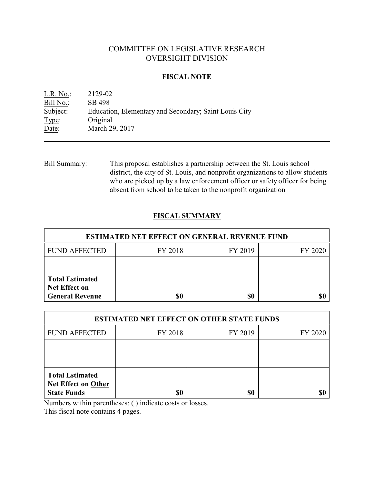# COMMITTEE ON LEGISLATIVE RESEARCH OVERSIGHT DIVISION

### **FISCAL NOTE**

| $L.R. No.$ : | 2129-02                                               |
|--------------|-------------------------------------------------------|
| Bill No.:    | SB 498                                                |
| Subject:     | Education, Elementary and Secondary; Saint Louis City |
| Type:        | Original                                              |
| Date:        | March 29, 2017                                        |

Bill Summary: This proposal establishes a partnership between the St. Louis school district, the city of St. Louis, and nonprofit organizations to allow students who are picked up by a law enforcement officer or safety officer for being absent from school to be taken to the nonprofit organization

## **FISCAL SUMMARY**

| <b>ESTIMATED NET EFFECT ON GENERAL REVENUE FUND</b>                      |         |         |         |  |
|--------------------------------------------------------------------------|---------|---------|---------|--|
| <b>FUND AFFECTED</b>                                                     | FY 2018 | FY 2019 | FY 2020 |  |
|                                                                          |         |         |         |  |
| <b>Total Estimated</b><br><b>Net Effect on</b><br><b>General Revenue</b> | \$0     | \$0     |         |  |

| <b>ESTIMATED NET EFFECT ON OTHER STATE FUNDS</b>                           |         |         |         |  |
|----------------------------------------------------------------------------|---------|---------|---------|--|
| <b>FUND AFFECTED</b>                                                       | FY 2018 | FY 2019 | FY 2020 |  |
|                                                                            |         |         |         |  |
|                                                                            |         |         |         |  |
| <b>Total Estimated</b><br><b>Net Effect on Other</b><br><b>State Funds</b> | \$0     | \$0     |         |  |

Numbers within parentheses: ( ) indicate costs or losses.

This fiscal note contains 4 pages.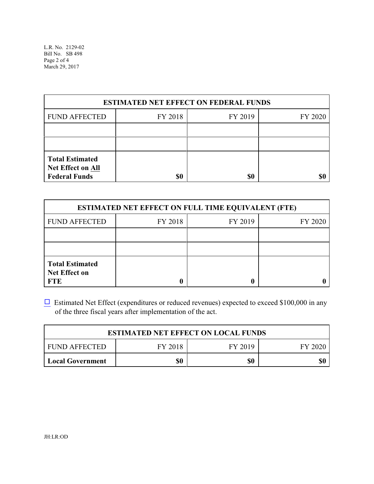L.R. No. 2129-02 Bill No. SB 498 Page 2 of 4 March 29, 2017

| <b>ESTIMATED NET EFFECT ON FEDERAL FUNDS</b>                        |         |         |         |  |
|---------------------------------------------------------------------|---------|---------|---------|--|
| <b>FUND AFFECTED</b>                                                | FY 2018 | FY 2019 | FY 2020 |  |
|                                                                     |         |         |         |  |
|                                                                     |         |         |         |  |
| <b>Total Estimated</b><br>Net Effect on All<br><b>Federal Funds</b> | \$0     | \$0     |         |  |

| <b>ESTIMATED NET EFFECT ON FULL TIME EQUIVALENT (FTE)</b>    |         |         |         |  |
|--------------------------------------------------------------|---------|---------|---------|--|
| <b>FUND AFFECTED</b>                                         | FY 2018 | FY 2019 | FY 2020 |  |
|                                                              |         |         |         |  |
|                                                              |         |         |         |  |
| <b>Total Estimated</b><br><b>Net Effect on</b><br><b>FTE</b> |         |         |         |  |

 $\Box$  Estimated Net Effect (expenditures or reduced revenues) expected to exceed \$100,000 in any of the three fiscal years after implementation of the act.

| <b>ESTIMATED NET EFFECT ON LOCAL FUNDS</b> |         |         |           |
|--------------------------------------------|---------|---------|-----------|
| FUND AFFECTED                              | FY 2018 | FY 2019 | - FY 2020 |
| Local Government                           | \$0     | \$0     |           |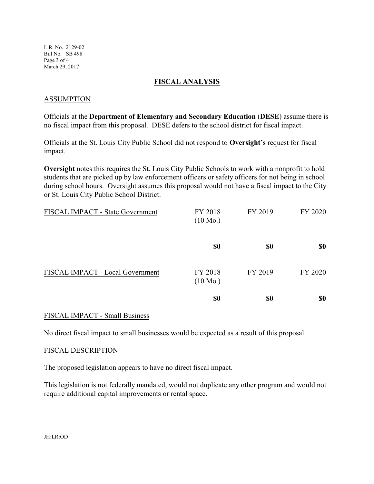L.R. No. 2129-02 Bill No. SB 498 Page 3 of 4 March 29, 2017

#### **FISCAL ANALYSIS**

#### ASSUMPTION

Officials at the **Department of Elementary and Secondary Education** (**DESE**) assume there is no fiscal impact from this proposal. DESE defers to the school district for fiscal impact.

Officials at the St. Louis City Public School did not respond to **Oversight's** request for fiscal impact.

**Oversight** notes this requires the St. Louis City Public Schools to work with a nonprofit to hold students that are picked up by law enforcement officers or safety officers for not being in school during school hours. Oversight assumes this proposal would not have a fiscal impact to the City or St. Louis City Public School District.

| FISCAL IMPACT - State Government | FY 2018<br>$(10 \text{ Mo.})$ | FY 2019    | FY 2020                       |
|----------------------------------|-------------------------------|------------|-------------------------------|
|                                  | $\underline{\underline{\$0}}$ | <u>\$0</u> | $\underline{\underline{\$0}}$ |
| FISCAL IMPACT - Local Government | FY 2018<br>$(10 \text{ Mo.})$ | FY 2019    | FY 2020                       |
|                                  | <u>\$0</u>                    | <u>\$0</u> | <u>\$0</u>                    |

### FISCAL IMPACT - Small Business

No direct fiscal impact to small businesses would be expected as a result of this proposal.

#### FISCAL DESCRIPTION

The proposed legislation appears to have no direct fiscal impact.

This legislation is not federally mandated, would not duplicate any other program and would not require additional capital improvements or rental space.